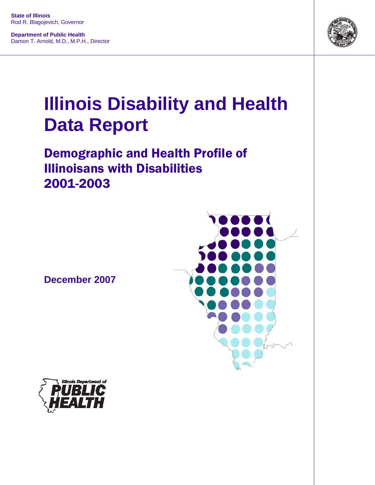**State of Illinois** Rod R. Blagojevich, Governor

**Department of Public Health** Damon T. Arnold, M.D., M.P.H., Director



# **Illinois Disability and Health Data Report**

## Demographic and Health Profile of Illinoisans with Disabilities 2001-2003

**December 2007**



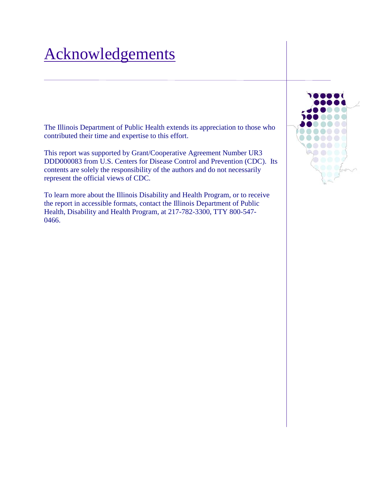## Acknowledgements

The Illinois Department of Public Health extends its appreciation to those who contributed their time and expertise to this effort.

This report was supported by Grant/Cooperative Agreement Number UR3 DDD000083 from U.S. Centers for Disease Control and Prevention (CDC). Its contents are solely the responsibility of the authors and do not necessarily represent the official views of CDC.

To learn more about the Illinois Disability and Health Program, or to receive the report in accessible formats, contact the Illinois Department of Public Health, Disability and Health Program, at 217-782-3300, TTY 800-547- 0466.

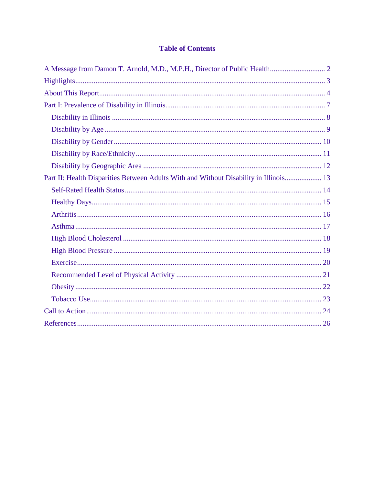#### **Table of Contents**

| Part II: Health Disparities Between Adults With and Without Disability in Illinois 13 |  |
|---------------------------------------------------------------------------------------|--|
|                                                                                       |  |
|                                                                                       |  |
|                                                                                       |  |
|                                                                                       |  |
|                                                                                       |  |
|                                                                                       |  |
|                                                                                       |  |
|                                                                                       |  |
|                                                                                       |  |
|                                                                                       |  |
|                                                                                       |  |
|                                                                                       |  |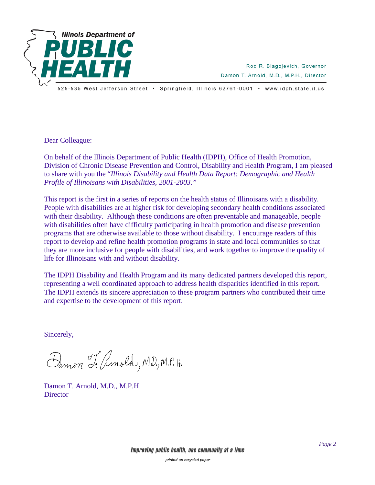

Rod R. Blagojevich, Governor Damon T. Arnold, M.D., M.P.H., Director

525-535 West Jefferson Street • Springfield, Illinois 62761-0001 • www.idph.state.il.us

Dear Colleague:

On behalf of the Illinois Department of Public Health (IDPH), Office of Health Promotion, Division of Chronic Disease Prevention and Control, Disability and Health Program, I am pleased to share with you the "*Illinois Disability and Health Data Report: Demographic and Health Profile of Illinoisans with Disabilities, 2001-2003."*

This report is the first in a series of reports on the health status of Illinoisans with a disability. People with disabilities are at higher risk for developing secondary health conditions associated with their disability. Although these conditions are often preventable and manageable, people with disabilities often have difficulty participating in health promotion and disease prevention programs that are otherwise available to those without disability. I encourage readers of this report to develop and refine health promotion programs in state and local communities so that they are more inclusive for people with disabilities, and work together to improve the quality of life for Illinoisans with and without disability.

The IDPH Disability and Health Program and its many dedicated partners developed this report, representing a well coordinated approach to address health disparities identified in this report. The IDPH extends its sincere appreciation to these program partners who contributed their time and expertise to the development of this report.

Sincerely,

Damon L. Ginold, M.D., M.P. H.

Damon T. Arnold, M.D., M.P.H. **Director**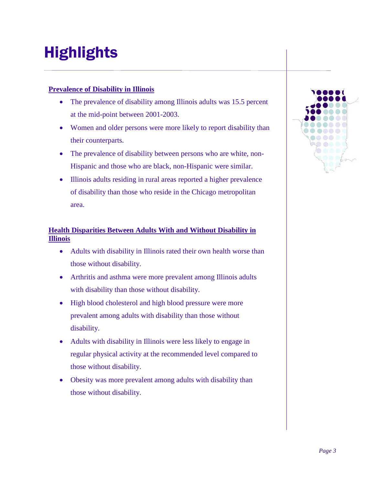## <span id="page-4-0"></span>Highlights

#### **Prevalence of Disability in Illinois**

- The prevalence of disability among Illinois adults was 15.5 percent at the mid-point between 2001-2003.
- Women and older persons were more likely to report disability than their counterparts.
- The prevalence of disability between persons who are white, non-Hispanic and those who are black, non-Hispanic were similar.
- Illinois adults residing in rural areas reported a higher prevalence of disability than those who reside in the Chicago metropolitan area.

#### **Health Disparities Between Adults With and Without Disability in Illinois**

- Adults with disability in Illinois rated their own health worse than those without disability.
- Arthritis and asthma were more prevalent among Illinois adults with disability than those without disability.
- High blood cholesterol and high blood pressure were more prevalent among adults with disability than those without disability.
- Adults with disability in Illinois were less likely to engage in regular physical activity at the recommended level compared to those without disability.
- Obesity was more prevalent among adults with disability than those without disability.

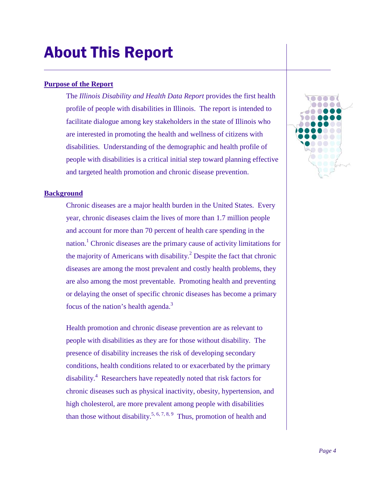## <span id="page-5-0"></span>About This Report

#### **Purpose of the Report**

The *Illinois Disability and Health Data Report* provides the first health profile of people with disabilities in Illinois. The report is intended to facilitate dialogue among key stakeholders in the state of Illinois who are interested in promoting the health and wellness of citizens with disabilities. Understanding of the demographic and health profile of people with disabilities is a critical initial step toward planning effective and targeted health promotion and chronic disease prevention.

#### **Background**

Chronic diseases are a major health burden in the United States. Every year, chronic diseases claim the lives of more than 1.7 million people and account for more than 70 percent of health care spending in the nation.<sup>1</sup> Chronic diseases are the primary cause of activity limitations for the majority of Americans with disability.<sup>2</sup> Despite the fact that chronic diseases are among the most prevalent and costly health problems, they are also among the most preventable. Promoting health and preventing or delaying the onset of specific chronic diseases has become a primary focus of the nation's health agenda.<sup>3</sup>

Health promotion and chronic disease prevention are as relevant to people with disabilities as they are for those without disability. The presence of disability increases the risk of developing secondary conditions, health conditions related to or exacerbated by the primary disability.<sup>4</sup> Researchers have repeatedly noted that risk factors for chronic diseases such as physical inactivity, obesity, hypertension, and high cholesterol, are more prevalent among people with disabilities than those without disability.<sup>5, 6, 7, 8, 9</sup> Thus, promotion of health and

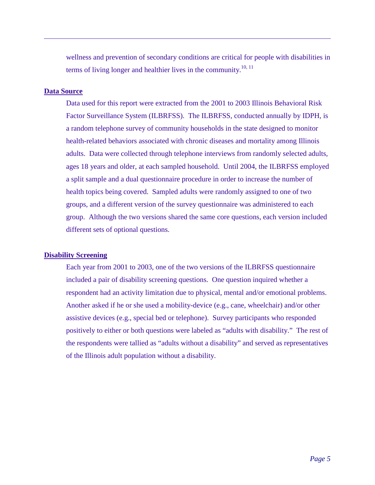wellness and prevention of secondary conditions are critical for people with disabilities in terms of living longer and healthier lives in the community.<sup>10, 11</sup>

#### **Data Source**

Data used for this report were extracted from the 2001 to 2003 Illinois Behavioral Risk Factor Surveillance System (ILBRFSS). The ILBRFSS, conducted annually by IDPH, is a random telephone survey of community households in the state designed to monitor health-related behaviors associated with chronic diseases and mortality among Illinois adults. Data were collected through telephone interviews from randomly selected adults*,*  ages 18 years and older, at each sampled household. Until 2004, the ILBRFSS employed a split sample and a dual questionnaire procedure in order to increase the number of health topics being covered. Sampled adults were randomly assigned to one of two groups, and a different version of the survey questionnaire was administered to each group. Although the two versions shared the same core questions, each version included different sets of optional questions.

#### **Disability Screening**

Each year from 2001 to 2003, one of the two versions of the ILBRFSS questionnaire included a pair of disability screening questions. One question inquired whether a respondent had an activity limitation due to physical, mental and/or emotional problems. Another asked if he or she used a mobility-device (e.g., cane, wheelchair) and/or other assistive devices (e.g., special bed or telephone). Survey participants who responded positively to either or both questions were labeled as "adults with disability." The rest of the respondents were tallied as "adults without a disability" and served as representatives of the Illinois adult population without a disability.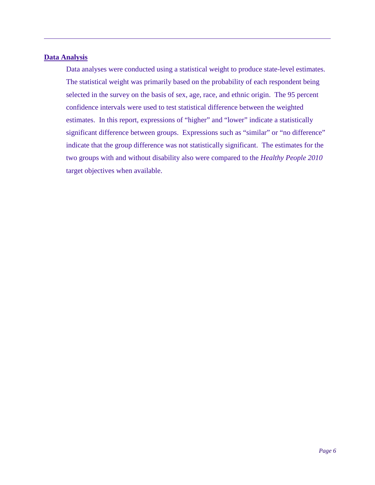#### **Data Analysis**

Data analyses were conducted using a statistical weight to produce state-level estimates. The statistical weight was primarily based on the probability of each respondent being selected in the survey on the basis of sex, age, race, and ethnic origin. The 95 percent confidence intervals were used to test statistical difference between the weighted estimates. In this report, expressions of "higher" and "lower" indicate a statistically significant difference between groups. Expressions such as "similar" or "no difference" indicate that the group difference was not statistically significant. The estimates for the two groups with and without disability also were compared to the *Healthy People 2010* target objectives when available.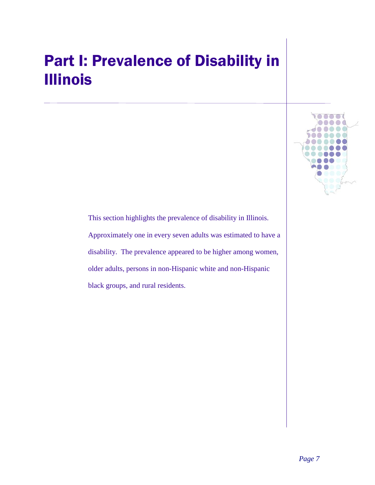## <span id="page-8-0"></span>Part I: Prevalence of Disability in Illinois

This section highlights the prevalence of disability in Illinois. Approximately one in every seven adults was estimated to have a disability. The prevalence appeared to be higher among women, older adults, persons in non-Hispanic white and non-Hispanic black groups, and rural residents.

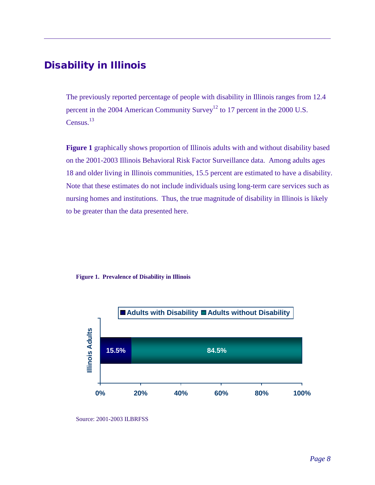#### <span id="page-9-0"></span>Disability in Illinois

The previously reported percentage of people with disability in Illinois ranges from 12.4 percent in the 2004 American Community Survey<sup>12</sup> to 17 percent in the 2000 U.S. Census.<sup>13</sup>

**[Figure 1](#page-9-1)** graphically shows proportion of Illinois adults with and without disability based on the 2001-2003 Illinois Behavioral Risk Factor Surveillance data. Among adults ages 18 and older living in Illinois communities, 15.5 percent are estimated to have a disability. Note that these estimates do not include individuals using long-term care services such as nursing homes and institutions. Thus, the true magnitude of disability in Illinois is likely to be greater than the data presented here.

#### <span id="page-9-1"></span>**Figure 1. Prevalence of Disability in Illinois**



Source: 2001-2003 ILBRFSS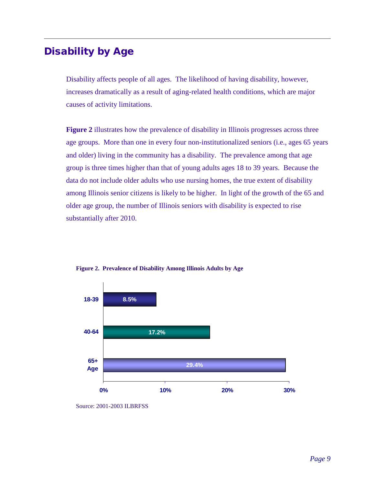### <span id="page-10-0"></span>Disability by Age

Disability affects people of all ages. The likelihood of having disability, however, increases dramatically as a result of aging-related health conditions, which are major causes of activity limitations.

**Figure 2** illustrates how the prevalence of disability in Illinois progresses across three age groups. More than one in every four non-institutionalized seniors (i.e., ages 65 years and older) living in the community has a disability. The prevalence among that age group is three times higher than that of young adults ages 18 to 39 years. Because the data do not include older adults who use nursing homes, the true extent of disability among Illinois senior citizens is likely to be higher. In light of the growth of the 65 and older age group, the number of Illinois seniors with disability is expected to rise substantially after 2010.



**Figure 2. Prevalence of Disability Among Illinois Adults by Age**

Source: 2001-2003 ILBRFSS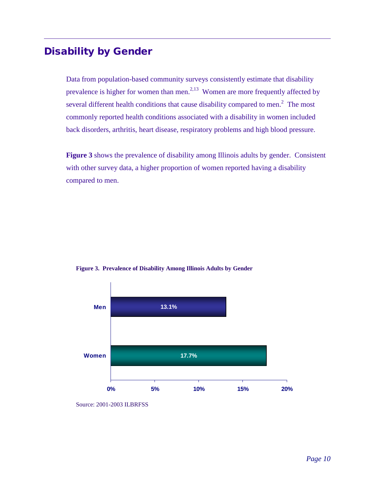### <span id="page-11-0"></span>Disability by Gender

Data from population-based community surveys consistently estimate that disability prevalence is higher for women than men.<sup>2,13</sup> Women are more frequently affected by several different health conditions that cause disability compared to men.<sup>2</sup> The most commonly reported health conditions associated with a disability in women included back disorders, arthritis, heart disease, respiratory problems and high blood pressure.

**Figure 3** shows the prevalence of disability among Illinois adults by gender. Consistent with other survey data, a higher proportion of women reported having a disability compared to men.



**Figure 3. Prevalence of Disability Among Illinois Adults by Gender**

Source: 2001-2003 ILBRFSS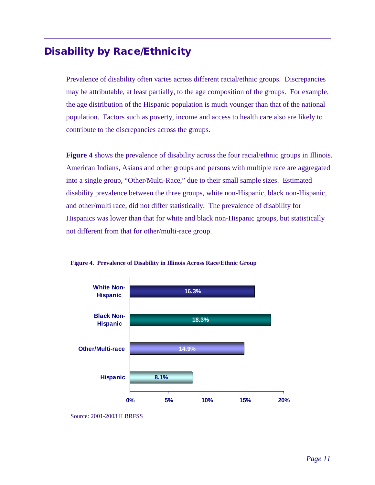## <span id="page-12-0"></span>Disability by Race/Ethnicity

Prevalence of disability often varies across different racial/ethnic groups. Discrepancies may be attributable, at least partially, to the age composition of the groups. For example, the age distribution of the Hispanic population is much younger than that of the national population. Factors such as poverty, income and access to health care also are likely to contribute to the discrepancies across the groups.

**Figure 4** shows the prevalence of disability across the four racial/ethnic groups in Illinois. American Indians, Asians and other groups and persons with multiple race are aggregated into a single group, "Other/Multi-Race," due to their small sample sizes. Estimated disability prevalence between the three groups, white non-Hispanic, black non-Hispanic, and other/multi race, did not differ statistically. The prevalence of disability for Hispanics was lower than that for white and black non-Hispanic groups, but statistically not different from that for other/multi-race group.



**Figure 4. Prevalence of Disability in Illinois Across Race/Ethnic Group**

Source: 2001-2003 ILBRFSS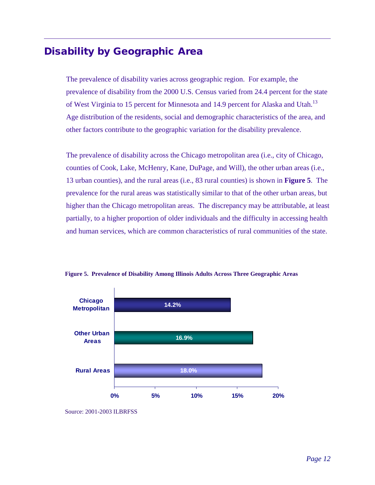#### <span id="page-13-0"></span>Disability by Geographic Area

The prevalence of disability varies across geographic region. For example, the prevalence of disability from the 2000 U.S. Census varied from 24.4 percent for the state of West Virginia to 15 percent for Minnesota and 14.9 percent for Alaska and Utah.<sup>13</sup> Age distribution of the residents, social and demographic characteristics of the area, and other factors contribute to the geographic variation for the disability prevalence.

The prevalence of disability across the Chicago metropolitan area (i.e., city of Chicago, counties of Cook, Lake, McHenry, Kane, DuPage, and Will), the other urban areas (i.e., 13 urban counties), and the rural areas (i.e., 83 rural counties) is shown in **Figure 5**. The prevalence for the rural areas was statistically similar to that of the other urban areas, but higher than the Chicago metropolitan areas. The discrepancy may be attributable, at least partially, to a higher proportion of older individuals and the difficulty in accessing health and human services, which are common characteristics of rural communities of the state.



**Figure 5. Prevalence of Disability Among Illinois Adults Across Three Geographic Areas**

Source: 2001-2003 ILBRFSS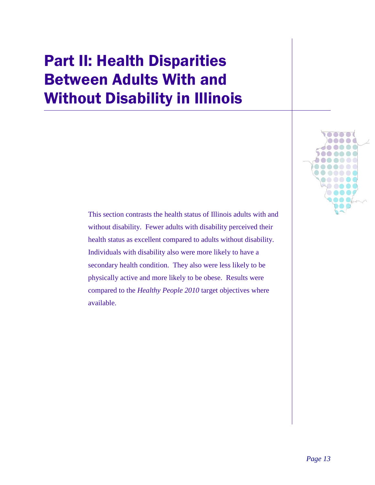## <span id="page-14-0"></span>Part II: Health Disparities Between Adults With and Without Disability in Illinois

This section contrasts the health status of Illinois adults with and without disability. Fewer adults with disability perceived their health status as excellent compared to adults without disability. Individuals with disability also were more likely to have a secondary health condition. They also were less likely to be physically active and more likely to be obese. Results were compared to the *Healthy People 2010* target objectives where available.

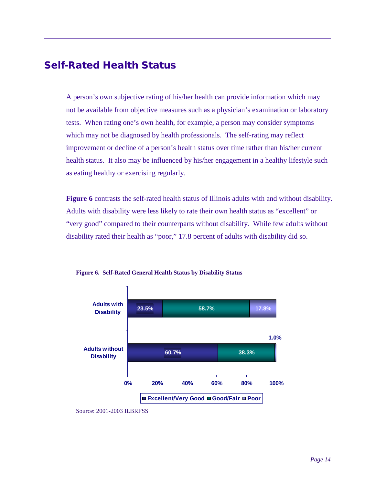### <span id="page-15-0"></span>Self-Rated Health Status

A person's own subjective rating of his/her health can provide information which may not be available from objective measures such as a physician's examination or laboratory tests. When rating one's own health, for example, a person may consider symptoms which may not be diagnosed by health professionals. The self-rating may reflect improvement or decline of a person's health status over time rather than his/her current health status. It also may be influenced by his/her engagement in a healthy lifestyle such as eating healthy or exercising regularly.

**[Figure 6](#page-15-1)** contrasts the self-rated health status of Illinois adults with and without disability. Adults with disability were less likely to rate their own health status as "excellent" or "very good" compared to their counterparts without disability. While few adults without disability rated their health as "poor," 17.8 percent of adults with disability did so.



<span id="page-15-1"></span>**Figure 6. Self-Rated General Health Status by Disability Status**

Source: 2001-2003 ILBRFSS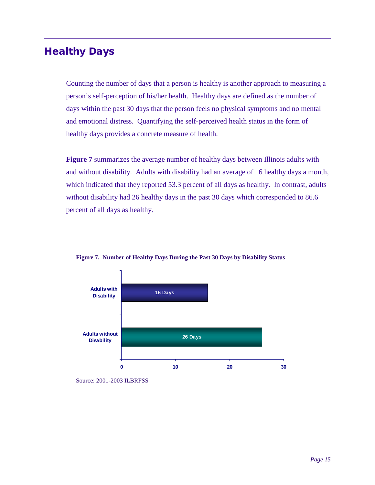### <span id="page-16-0"></span>Healthy Days

Counting the number of days that a person is healthy is another approach to measuring a person's self-perception of his/her health. Healthy days are defined as the number of days within the past 30 days that the person feels no physical symptoms and no mental and emotional distress. Quantifying the self-perceived health status in the form of healthy days provides a concrete measure of health.

**[Figure 7](#page-16-1)** summarizes the average number of healthy days between Illinois adults with and without disability. Adults with disability had an average of 16 healthy days a month, which indicated that they reported 53.3 percent of all days as healthy. In contrast, adults without disability had 26 healthy days in the past 30 days which corresponded to 86.6 percent of all days as healthy.



<span id="page-16-1"></span>**Figure 7. Number of Healthy Days During the Past 30 Days by Disability Status**

Source: 2001-2003 ILBRFSS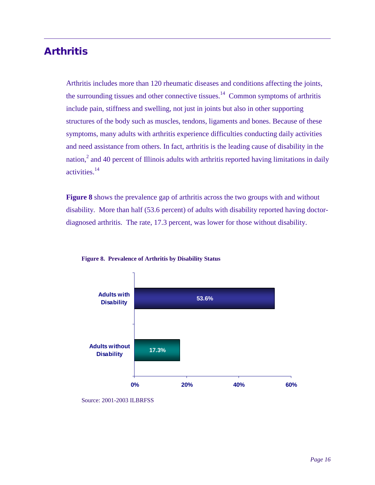### <span id="page-17-0"></span>Arthritis

Arthritis includes more than 120 rheumatic diseases and conditions affecting the joints, the surrounding tissues and other connective tissues.<sup>14</sup> Common symptoms of arthritis include pain, stiffness and swelling, not just in joints but also in other supporting structures of the body such as muscles, tendons, ligaments and bones. Because of these symptoms, many adults with arthritis experience difficulties conducting daily activities and need assistance from others. In fact, arthritis is the leading cause of disability in the nation, $2$  and 40 percent of Illinois adults with arthritis reported having limitations in daily activities. 14

**[Figure 8](#page-17-1)** shows the prevalence gap of arthritis across the two groups with and without disability. More than half (53.6 percent) of adults with disability reported having doctordiagnosed arthritis. The rate, 17.3 percent, was lower for those without disability.



<span id="page-17-1"></span>

Source: 2001-2003 ILBRFSS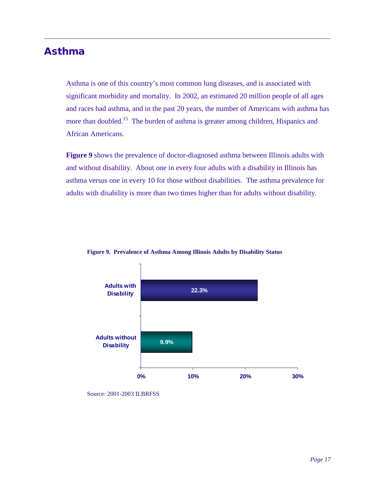## <span id="page-18-0"></span>Asthma

Asthma is one of this country's most common lung diseases, and is associated with significant morbidity and mortality. In 2002, an estimated 20 million people of all ages and races had asthma, and in the past 20 years, the number of Americans with asthma has more than doubled.<sup>15</sup> The burden of asthma is greater among children, Hispanics and African Americans.

**[Figure 9](#page-18-1)** shows the prevalence of doctor-diagnosed asthma between Illinois adults with and without disability. About one in every four adults with a disability in Illinois has asthma versus one in every 10 for those without disabilities. The asthma prevalence for adults with disability is more than two times higher than for adults without disability.



<span id="page-18-1"></span>**Figure 9. Prevalence of Asthma Among Illinois Adults by Disability Status** 

Source: 2001-2003 ILBRFSS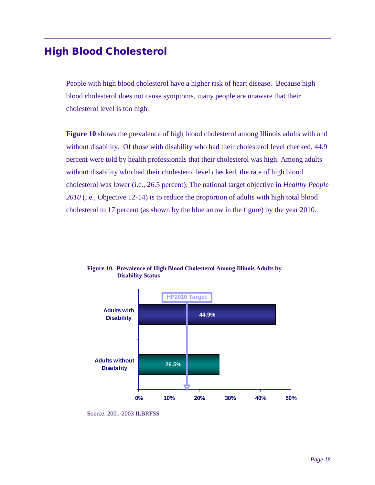#### <span id="page-19-0"></span>High Blood Cholesterol

People with high blood cholesterol have a higher risk of heart disease. Because high blood cholesterol does not cause symptoms, many people are unaware that their cholesterol level is too high.

**Figure 10** shows the prevalence of high blood cholesterol among Illinois adults with and without disability. Of those with disability who had their cholesterol level checked, 44.9 percent were told by health professionals that their cholesterol was high. Among adults without disability who had their cholesterol level checked, the rate of high blood cholesterol was lower (i.e., 26.5 percent). The national target objective in *Healthy People 2010* (i.e., Objective 12-14) is to reduce the proportion of adults with high total blood cholesterol to 17 percent (as shown by the blue arrow in the figure) by the year 2010.



**Figure 10. Prevalence of High Blood Cholesterol Among Illinois Adults by Disability Status**

Source: 2001-2003 ILBRFSS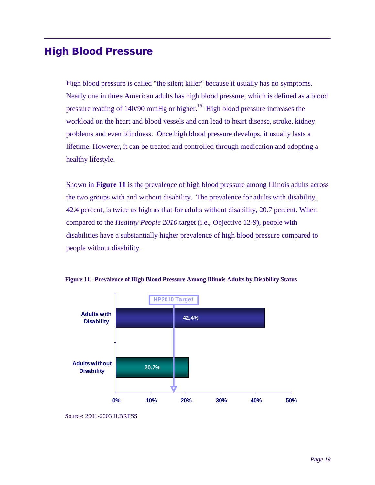#### <span id="page-20-0"></span>High Blood Pressure

High blood pressure is called "the silent killer" because it usually has no symptoms. Nearly one in three American adults has high blood pressure, which is defined as a blood pressure reading of  $140/90$  mmHg or higher.<sup>16</sup> High blood pressure increases the workload on the heart and blood vessels and can lead to heart disease, stroke, kidney problems and even blindness. Once high blood pressure develops, it usually lasts a lifetime. However, it can be treated and controlled through medication and adopting a healthy lifestyle.

Shown in **Figure 11** is the prevalence of high blood pressure among Illinois adults across the two groups with and without disability. The prevalence for adults with disability, 42.4 percent, is twice as high as that for adults without disability, 20.7 percent. When compared to the *Healthy People 2010* target (i.e., Objective 12-9), people with disabilities have a substantially higher prevalence of high blood pressure compared to people without disability.





Source: 2001-2003 ILBRFSS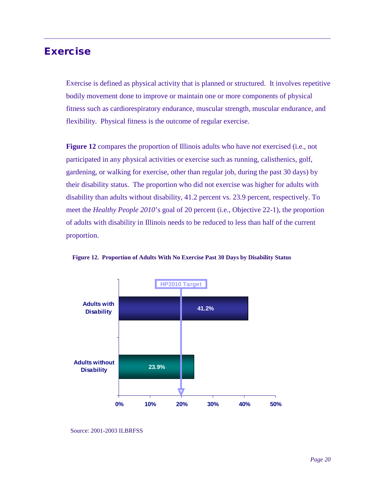#### <span id="page-21-0"></span>Exercise

Exercise is defined as physical activity that is planned or structured. It involves repetitive bodily movement done to improve or maintain one or more components of physical fitness such as cardiorespiratory endurance, muscular strength, muscular endurance, and flexibility. Physical fitness is the outcome of regular exercise.

**Figure 12** compares the proportion of Illinois adults who have *not* exercised (i.e., not participated in any physical activities or exercise such as running, calisthenics, golf, gardening, or walking for exercise, other than regular job, during the past 30 days) by their disability status. The proportion who did not exercise was higher for adults with disability than adults without disability, 41.2 percent vs. 23.9 percent, respectively. To meet the *Healthy People 2010*'s goal of 20 percent (i.e., Objective 22-1), the proportion of adults with disability in Illinois needs to be reduced to less than half of the current proportion.



**Figure 12. Proportion of Adults With No Exercise Past 30 Days by Disability Status**

Source: 2001-2003 ILBRFSS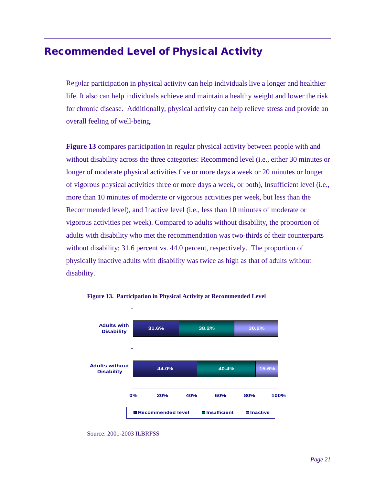### <span id="page-22-0"></span>Recommended Level of Physical Activity

Regular participation in physical activity can help individuals live a longer and healthier life. It also can help individuals achieve and maintain a healthy weight and lower the risk for chronic disease. Additionally, physical activity can help relieve stress and provide an overall feeling of well-being.

**Figure 13** compares participation in regular physical activity between people with and without disability across the three categories: Recommend level (i.e., either 30 minutes or longer of moderate physical activities five or more days a week or 20 minutes or longer of vigorous physical activities three or more days a week, or both), Insufficient level (i.e., more than 10 minutes of moderate or vigorous activities per week, but less than the Recommended level), and Inactive level (i.e., less than 10 minutes of moderate or vigorous activities per week). Compared to adults without disability, the proportion of adults with disability who met the recommendation was two-thirds of their counterparts without disability; 31.6 percent vs. 44.0 percent, respectively. The proportion of physically inactive adults with disability was twice as high as that of adults without disability.



**Figure 13. Participation in Physical Activity at Recommended Level**

Source: 2001-2003 ILBRFSS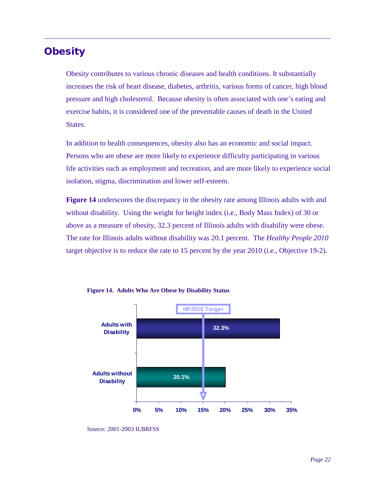### <span id="page-23-0"></span>**Obesity**

Obesity contributes to various chronic diseases and health conditions. It substantially increases the risk of heart disease, diabetes, arthritis, various forms of cancer, high blood pressure and high cholesterol. Because obesity is often associated with one's eating and exercise habits, it is considered one of the preventable causes of death in the United States.

In addition to health consequences, obesity also has an economic and social impact. Persons who are obese are more likely to experience difficulty participating in various life activities such as employment and recreation, and are more likely to experience social isolation, stigma, discrimination and lower self-esteem.

**Figure 14** underscores the discrepancy in the obesity rate among Illinois adults with and without disability. Using the weight for height index (i.e., Body Mass Index) of 30 or above as a measure of obesity, 32.3 percent of Illinois adults with disability were obese. The rate for Illinois adults without disability was 20.1 percent. The *Healthy People 2010* target objective is to reduce the rate to 15 percent by the year 2010 (i.e., Objective 19-2).





Source: 2001-2003 ILBRFSS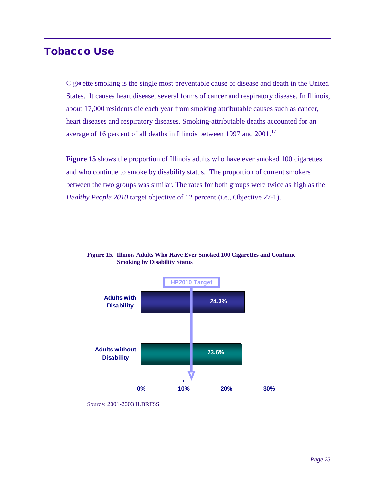#### <span id="page-24-0"></span>Tobacco Use

Cigarette smoking is the single most preventable cause of disease and death in the United States. It causes heart disease, several forms of cancer and respiratory disease. In Illinois, about 17,000 residents die each year from smoking attributable causes such as cancer, heart diseases and respiratory diseases. Smoking-attributable deaths accounted for an average of 16 percent of all deaths in Illinois between 1997 and 2001.<sup>17</sup>

**Figure 15** shows the proportion of Illinois adults who have ever smoked 100 cigarettes and who continue to smoke by disability status. The proportion of current smokers between the two groups was similar. The rates for both groups were twice as high as the *Healthy People 2010* target objective of 12 percent (i.e., Objective 27-1).



**Figure 15. Illinois Adults Who Have Ever Smoked 100 Cigarettes and Continue Smoking by Disability Status**

Source: 2001-2003 ILBRFSS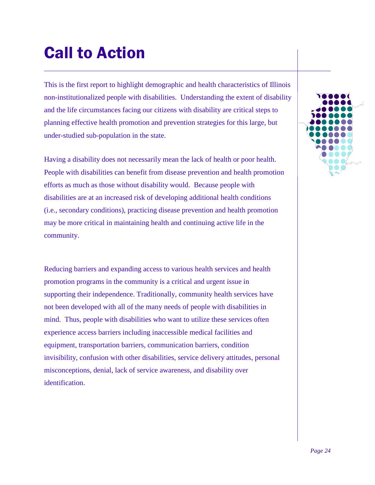## <span id="page-25-0"></span>Call to Action

This is the first report to highlight demographic and health characteristics of Illinois non-institutionalized people with disabilities. Understanding the extent of disability and the life circumstances facing our citizens with disability are critical steps to planning effective health promotion and prevention strategies for this large, but under-studied sub-population in the state.

Having a disability does not necessarily mean the lack of health or poor health. People with disabilities can benefit from disease prevention and health promotion efforts as much as those without disability would. Because people with disabilities are at an increased risk of developing additional health conditions (i.e., secondary conditions), practicing disease prevention and health promotion may be more critical in maintaining health and continuing active life in the community.

Reducing barriers and expanding access to various health services and health promotion programs in the community is a critical and urgent issue in supporting their independence. Traditionally, community health services have not been developed with all of the many needs of people with disabilities in mind. Thus, people with disabilities who want to utilize these services often experience access barriers including inaccessible medical facilities and equipment, transportation barriers, communication barriers, condition invisibility, confusion with other disabilities, service delivery attitudes, personal misconceptions, denial, lack of service awareness, and disability over identification.

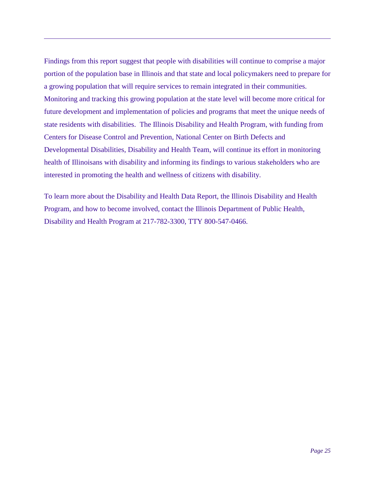Findings from this report suggest that people with disabilities will continue to comprise a major portion of the population base in Illinois and that state and local policymakers need to prepare for a growing population that will require services to remain integrated in their communities. Monitoring and tracking this growing population at the state level will become more critical for future development and implementation of policies and programs that meet the unique needs of state residents with disabilities. The Illinois Disability and Health Program, with funding from Centers for Disease Control and Prevention, National Center on Birth Defects and Developmental Disabilities, Disability and Health Team, will continue its effort in monitoring health of Illinoisans with disability and informing its findings to various stakeholders who are interested in promoting the health and wellness of citizens with disability.

To learn more about the Disability and Health Data Report, the Illinois Disability and Health Program, and how to become involved, contact the Illinois Department of Public Health, Disability and Health Program at 217-782-3300, TTY 800-547-0466.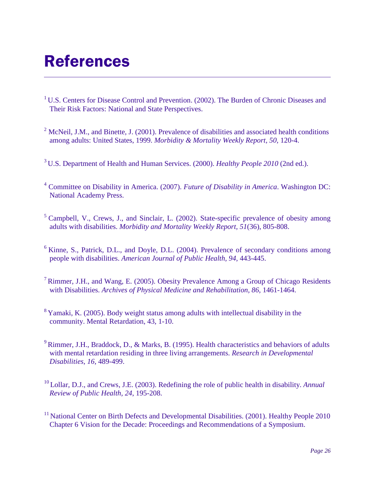## <span id="page-27-0"></span>References

- <sup>1</sup> U.S. Centers for Disease Control and Prevention. (2002). The Burden of Chronic Diseases and Their Risk Factors: National and State Perspectives.
- <sup>2</sup> McNeil, J.M., and Binette, J. (2001). Prevalence of disabilities and associated health conditions among adults: United States, 1999. *Morbidity & Mortality Weekly Report, 50,* 120-4.
- 3 U.S. Department of Health and Human Services. (2000). *Healthy People 2010* (2nd ed.).
- <sup>4</sup> Committee on Disability in America. (2007). *Future of Disability in America*. Washington DC: National Academy Press.
- <sup>5</sup> Campbell, V., Crews, J., and Sinclair, L. (2002). State-specific prevalence of obesity among adults with disabilities. *Morbidity and Mortality Weekly Report, 51*(36), 805-808.
- $6$  Kinne, S., Patrick, D.L., and Doyle, D.L. (2004). Prevalence of secondary conditions among people with disabilities. *American Journal of Public Health, 94,* 443-445.
- 7 Rimmer, J.H., and Wang, E. (2005). Obesity Prevalence Among a Group of Chicago Residents with Disabilities. *Archives of Physical Medicine and Rehabilitation, 86,* 1461-1464.
- <sup>8</sup> Yamaki, K. (2005). Body weight status among adults with intellectual disability in the community. Mental Retardation, 43, 1-10.
- <sup>9</sup> Rimmer, J.H., Braddock, D., & Marks, B. (1995). Health characteristics and behaviors of adults with mental retardation residing in three living arrangements. *Research in Developmental Disabilities*, *16*, 489-499.
- 10 Lollar, D.J., and Crews, J.E. (2003). Redefining the role of public health in disability. *Annual Review of Public Health, 24*, 195-208.
- <sup>11</sup> National Center on Birth Defects and Developmental Disabilities. (2001). Healthy People 2010 Chapter 6 Vision for the Decade: Proceedings and Recommendations of a Symposium.